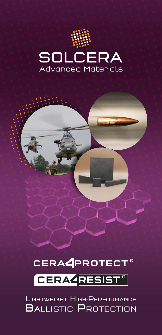







LIGHTWEIGHT HIGH-PERFORMANCE **BALLISTIC PROTECTION**